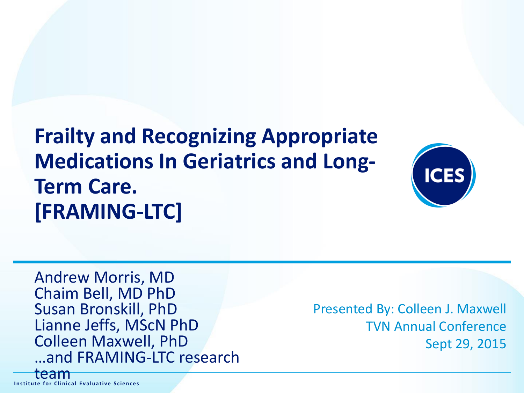**Frailty and Recognizing Appropriate Medications In Geriatrics and Long-Term Care. [FRAMING-LTC]**



Andrew Morris, MD Chaim Bell, MD PhD Susan Bronskill, PhD Lianne Jeffs, MScN PhD Colleen Maxwell, PhD …and FRAMING-LTC research

Presented By: Colleen J. Maxwell TVN Annual Conference Sept 29, 2015

**I n s t it u t e f o r Clin ic a l E v a lu a t iv e S c ie n c e s Institute for Clinical Evaluative Sciences**

team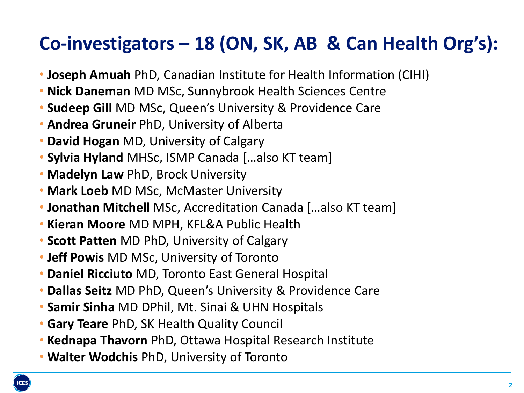### **Co-investigators – 18 (ON, SK, AB & Can Health Org's):**

- **Joseph Amuah** PhD, Canadian Institute for Health Information (CIHI)
- **Nick Daneman** MD MSc, Sunnybrook Health Sciences Centre
- **Sudeep Gill** MD MSc, Queen's University & Providence Care
- **Andrea Gruneir** PhD, University of Alberta
- **David Hogan** MD, University of Calgary
- **Sylvia Hyland** MHSc, ISMP Canada […also KT team]
- **Madelyn Law** PhD, Brock University
- **Mark Loeb** MD MSc, McMaster University
- **Jonathan Mitchell** MSc, Accreditation Canada […also KT team]
- **Kieran Moore** MD MPH, KFL&A Public Health
- **Scott Patten** MD PhD, University of Calgary
- **Jeff Powis** MD MSc, University of Toronto
- **Daniel Ricciuto** MD, Toronto East General Hospital
- **Dallas Seitz** MD PhD, Queen's University & Providence Care
- **Samir Sinha** MD DPhil, Mt. Sinai & UHN Hospitals
- **Gary Teare** PhD, SK Health Quality Council
- **Kednapa Thavorn** PhD, Ottawa Hospital Research Institute
- **Walter Wodchis** PhD, University of Toronto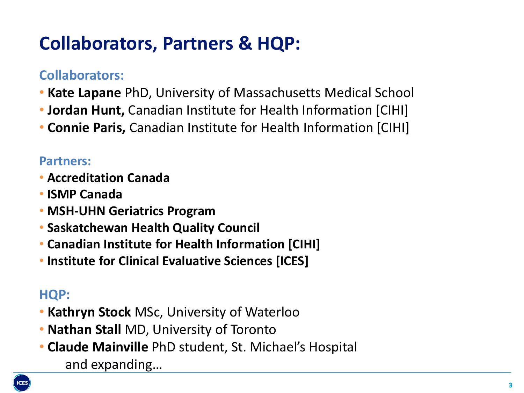### **Collaborators, Partners & HQP:**

#### **Collaborators:**

- **Kate Lapane** PhD, University of Massachusetts Medical School
- **Jordan Hunt,** Canadian Institute for Health Information [CIHI]
- **Connie Paris,** Canadian Institute for Health Information [CIHI]

#### **Partners:**

- **Accreditation Canada**
- **ISMP Canada**
- **MSH-UHN Geriatrics Program**
- **Saskatchewan Health Quality Council**
- **Canadian Institute for Health Information [CIHI]**
- **Institute for Clinical Evaluative Sciences [ICES]**

#### **HQP:**

- **Kathryn Stock** MSc, University of Waterloo
- **Nathan Stall** MD, University of Toronto
- **Claude Mainville** PhD student, St. Michael's Hospital and expanding…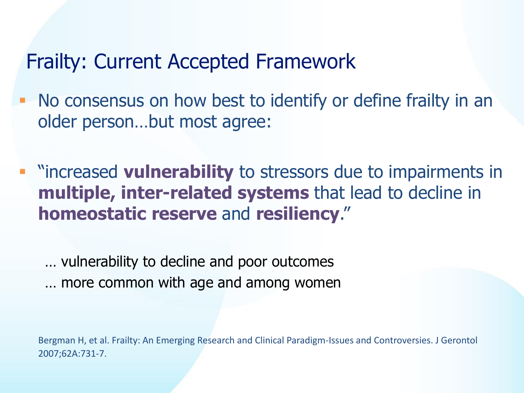#### Frailty: Current Accepted Framework

- No consensus on how best to identify or define frailty in an older person…but most agree:
	- "increased **vulnerability** to stressors due to impairments in **multiple, inter-related systems** that lead to decline in **homeostatic reserve** and **resiliency**."

… vulnerability to decline and poor outcomes

… more common with age and among women

Bergman H, et al. Frailty: An Emerging Research and Clinical Paradigm-Issues and Controversies. J Gerontol 2007;62A:731-7.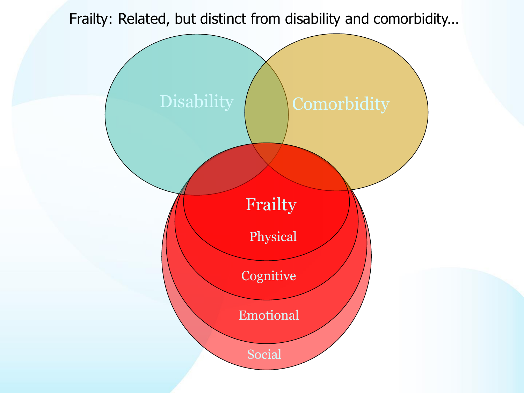Frailty: Related, but distinct from disability and comorbidity…

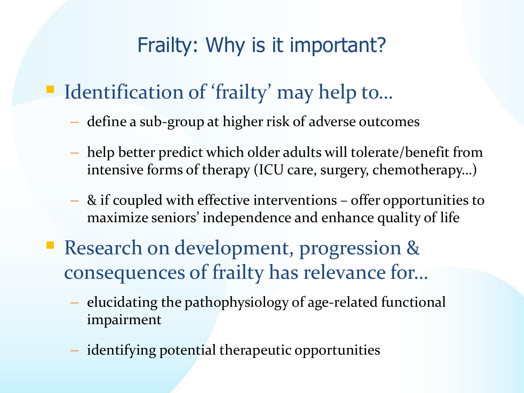### Frailty: Why is it important?

## ■ Identification of 'frailty' may help to...

- define a sub-group at higher risk of adverse outcomes
- help better predict which older adults will tolerate/benefit from intensive forms of therapy (ICU care, surgery, chemotherapy…)
- & if coupled with effective interventions offer opportunities to maximize seniors' independence and enhance quality of life
- **Research on development, progression &** consequences of frailty has relevance for…
	- elucidating the pathophysiology of age-related functional impairment
	- identifying potential therapeutic opportunities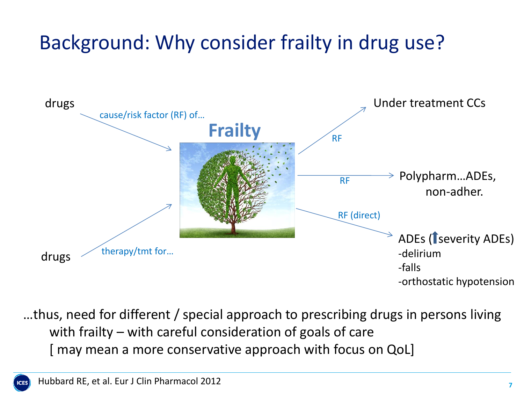# Background: Why consider frailty in drug use?



…thus, need for different / special approach to prescribing drugs in persons living with frailty – with careful consideration of goals of care [ may mean a more conservative approach with focus on QoL]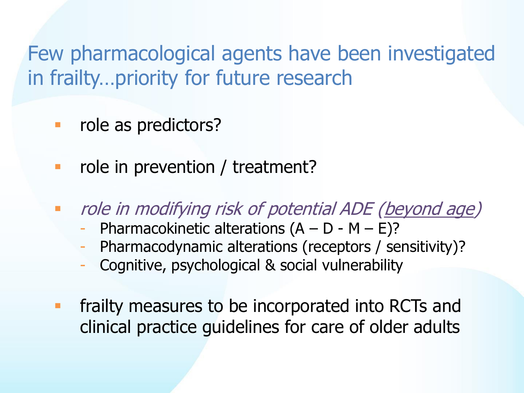Few pharmacological agents have been investigated in frailty…priority for future research

**role as predictors?** 

- **•** role in prevention / treatment?
- **The** *role in modifying risk of potential ADE* (beyond age)
	- Pharmacokinetic alterations  $(A D M E)$ ?
	- Pharmacodynamic alterations (receptors / sensitivity)?
	- Cognitive, psychological & social vulnerability
- frailty measures to be incorporated into RCTs and clinical practice guidelines for care of older adults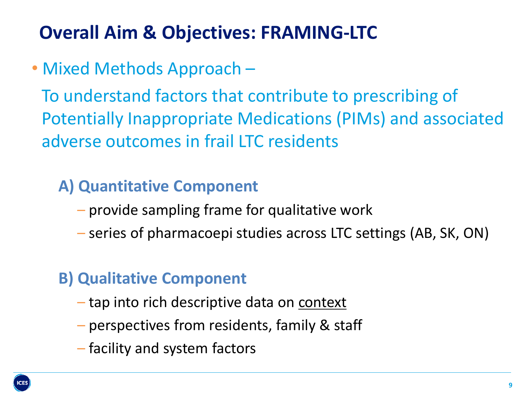### **Overall Aim & Objectives: FRAMING-LTC**

• Mixed Methods Approach –

To understand factors that contribute to prescribing of Potentially Inappropriate Medications (PIMs) and associated adverse outcomes in frail LTC residents

#### **A) Quantitative Component**

- provide sampling frame for qualitative work
- series of pharmacoepi studies across LTC settings (AB, SK, ON)

#### **B) Qualitative Component**

- tap into rich descriptive data on context
- perspectives from residents, family & staff
- facility and system factors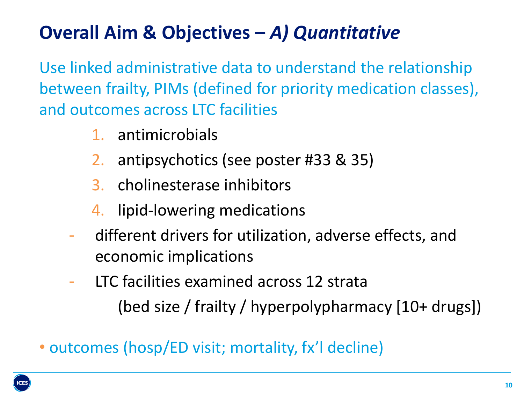# **Overall Aim & Objectives –** *A) Quantitative*

Use linked administrative data to understand the relationship between frailty, PIMs (defined for priority medication classes), and outcomes across LTC facilities

- 1. antimicrobials
- 2. antipsychotics (see poster #33 & 35)
- 3. cholinesterase inhibitors
- 4. lipid-lowering medications
- different drivers for utilization, adverse effects, and economic implications
- LTC facilities examined across 12 strata (bed size / frailty / hyperpolypharmacy [10+ drugs])
- outcomes (hosp/ED visit; mortality, fx'l decline)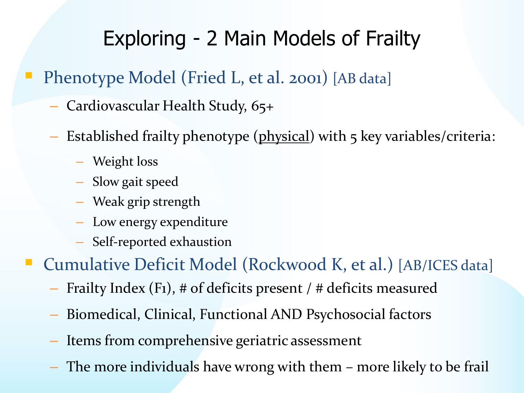# Exploring - 2 Main Models of Frailty

- Phenotype Model (Fried L, et al. 2001) [AB data]
	- Cardiovascular Health Study, 65+
	- Established frailty phenotype (physical) with 5 key variables/criteria:
		- Weight loss
		- Slow gait speed
		- Weak grip strength
		- Low energy expenditure
		- Self-reported exhaustion

Cumulative Deficit Model (Rockwood K, et al.) [AB/ICES data]

- Frailty Index (F1), # of deficits present / # deficits measured
- Biomedical, Clinical, Functional AND Psychosocial factors
- Items from comprehensive geriatric assessment
- The more individuals have wrong with them more likely to be frail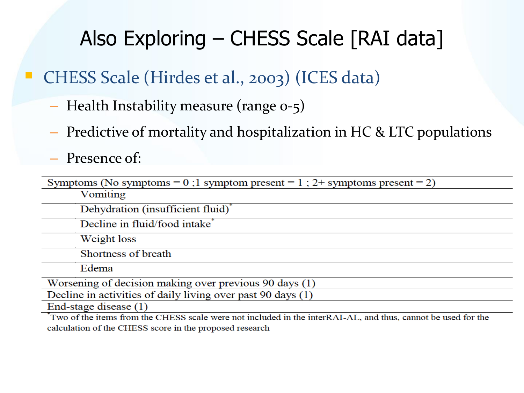# Also Exploring – CHESS Scale [RAI data]

CHESS Scale (Hirdes et al., 2003) (ICES data)

- Health Instability measure (range 0-5)
- Predictive of mortality and hospitalization in HC & LTC populations

– Presence of:

| Symptoms (No symptoms = 0;1 symptom present = 1; 2+ symptoms present = 2)                                    |
|--------------------------------------------------------------------------------------------------------------|
| Vomiting                                                                                                     |
| Dehydration (insufficient fluid) <sup>*</sup>                                                                |
| Decline in fluid/food intake <sup>*</sup>                                                                    |
| Weight loss                                                                                                  |
| Shortness of breath                                                                                          |
| Edema                                                                                                        |
| Worsening of decision making over previous 90 days (1)                                                       |
| Decline in activities of daily living over past 90 days (1)                                                  |
| End-stage disease (1)                                                                                        |
| Two of the items from the CHESS scale were not included in the interRAI-AL, and thus, cannot be used for the |

calculation of the CHESS score in the proposed research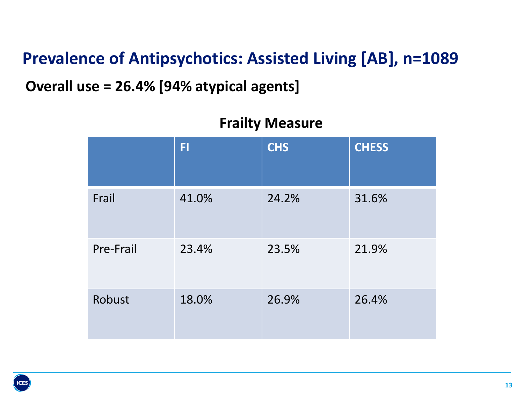#### **Prevalence of Antipsychotics: Assisted Living [AB], n=1089**

#### **Overall use = 26.4% [94% atypical agents]**

|           | <b>FI</b> | <b>CHS</b> | <b>CHESS</b> |
|-----------|-----------|------------|--------------|
| Frail     | 41.0%     | 24.2%      | 31.6%        |
| Pre-Frail | 23.4%     | 23.5%      | 21.9%        |
| Robust    | 18.0%     | 26.9%      | 26.4%        |

#### **Frailty Measure**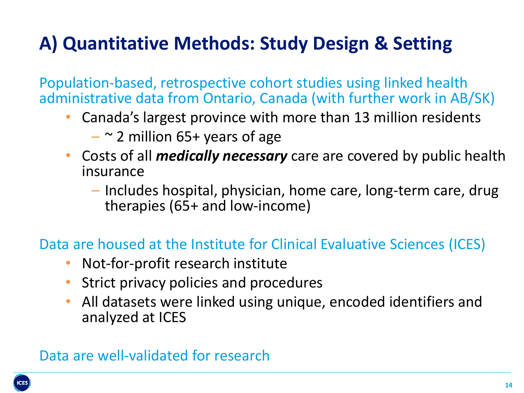### **A) Quantitative Methods: Study Design & Setting**

Population-based, retrospective cohort studies using linked health administrative data from Ontario, Canada (with further work in AB/SK)

- Canada's largest province with more than 13 million residents
	- $\sim$  2 million 65+ years of age
- Costs of all *medically necessary* care are covered by public health insurance
	- Includes hospital, physician, home care, long-term care, drug therapies (65+ and low-income)

Data are housed at the Institute for Clinical Evaluative Sciences (ICES)

- Not-for-profit research institute
- Strict privacy policies and procedures
- All datasets were linked using unique, encoded identifiers and analyzed at ICES

#### Data are well-validated for research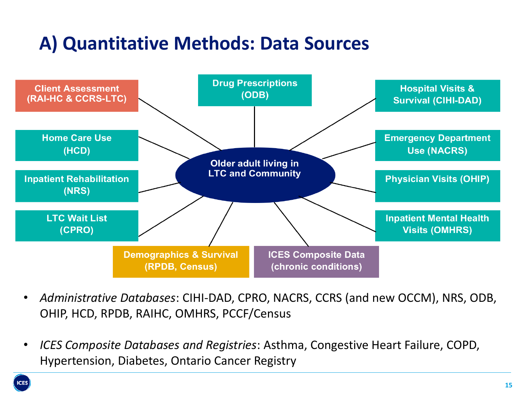### **A) Quantitative Methods: Data Sources**



- *Administrative Databases*: CIHI-DAD, CPRO, NACRS, CCRS (and new OCCM), NRS, ODB, OHIP, HCD, RPDB, RAIHC, OMHRS, PCCF/Census
- *ICES Composite Databases and Registries*: Asthma, Congestive Heart Failure, COPD, Hypertension, Diabetes, Ontario Cancer Registry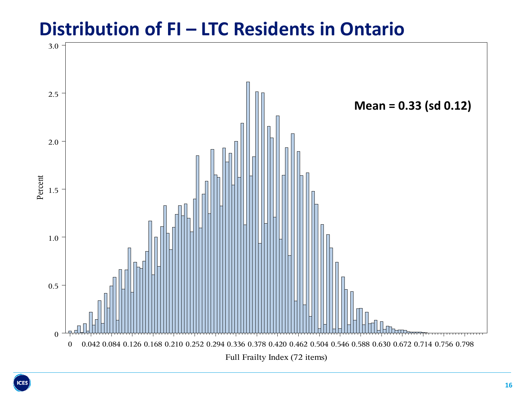#### **Distribution of FI – LTC Residents in Ontario**

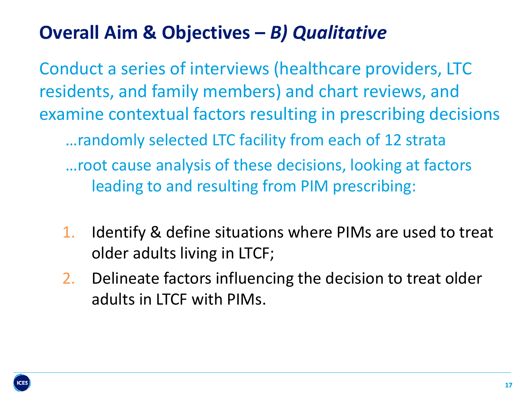### **Overall Aim & Objectives –** *B) Qualitative*

Conduct a series of interviews (healthcare providers, LTC residents, and family members) and chart reviews, and examine contextual factors resulting in prescribing decisions …randomly selected LTC facility from each of 12 strata …root cause analysis of these decisions, looking at factors leading to and resulting from PIM prescribing:

- 1. Identify & define situations where PIMs are used to treat older adults living in LTCF;
- 2. Delineate factors influencing the decision to treat older adults in LTCF with PIMs.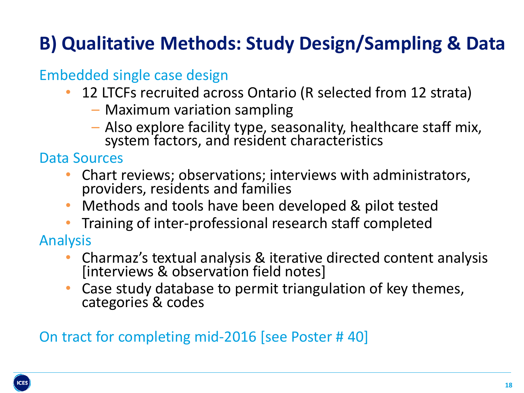# **B) Qualitative Methods: Study Design/Sampling & Data**

#### Embedded single case design

- 12 LTCFs recruited across Ontario (R selected from 12 strata)
	- Maximum variation sampling
	- Also explore facility type, seasonality, healthcare staff mix, system factors, and resident characteristics

Data Sources

- Chart reviews; observations; interviews with administrators, providers, residents and families
- Methods and tools have been developed & pilot tested
- Training of inter-professional research staff completed

Analysis

- Charmaz's textual analysis & iterative directed content analysis [interviews & observation field notes]
- Case study database to permit triangulation of key themes, categories & codes

On tract for completing mid-2016 [see Poster # 40]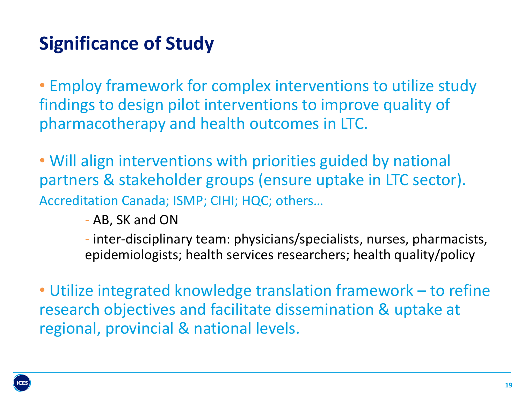### **Significance of Study**

• Employ framework for complex interventions to utilize study findings to design pilot interventions to improve quality of pharmacotherapy and health outcomes in LTC.

• Will align interventions with priorities guided by national partners & stakeholder groups (ensure uptake in LTC sector). Accreditation Canada; ISMP; CIHI; HQC; others…

- AB, SK and ON

- inter-disciplinary team: physicians/specialists, nurses, pharmacists, epidemiologists; health services researchers; health quality/policy

• Utilize integrated knowledge translation framework – to refine research objectives and facilitate dissemination & uptake at regional, provincial & national levels.